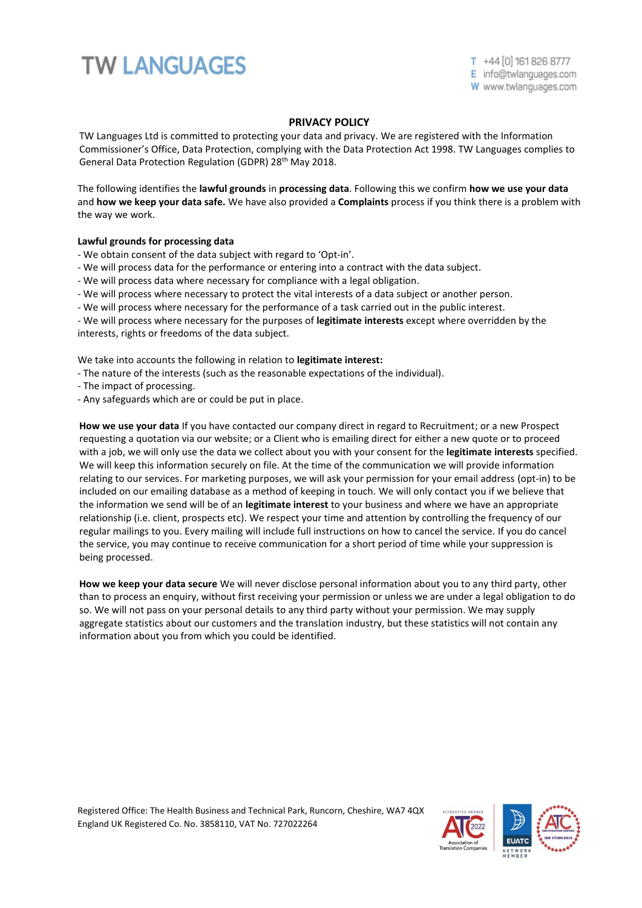## **TW LANGUAGES**

T +44 [0] 161 826 8777 E info@twlanguages.com W www.twlanguages.com

## **PRIVACY POLICY**

TW Languages Ltd is committed to protecting your data and privacy. We are registered with the Information Commissioner's Office, Data Protection, complying with the Data Protection Act 1998. TW Languages complies to General Data Protection Regulation (GDPR) 28<sup>th</sup> May 2018.

The following identifies the **lawful grounds** in **processing data**. Following this we confirm **how we use your data**  and **how we keep your data safe.** We have also provided a **Complaints** process if you think there is a problem with the way we work.

## **Lawful grounds for processing data**

- We obtain consent of the data subject with regard to 'Opt-in'.
- We will process data for the performance or entering into a contract with the data subject.
- We will process data where necessary for compliance with a legal obligation.
- We will process where necessary to protect the vital interests of a data subject or another person.
- We will process where necessary for the performance of a task carried out in the public interest.

- We will process where necessary for the purposes of **legitimate interests** except where overridden by the interests, rights or freedoms of the data subject.

We take into accounts the following in relation to **legitimate interest:**

- The nature of the interests (such as the reasonable expectations of the individual).
- The impact of processing.
- Any safeguards which are or could be put in place.

**How we use your data** If you have contacted our company direct in regard to Recruitment; or a new Prospect requesting a quotation via our website; or a Client who is emailing direct for either a new quote or to proceed with a job, we will only use the data we collect about you with your consent for the **legitimate interests** specified. We will keep this information securely on file. At the time of the communication we will provide information relating to our services. For marketing purposes, we will ask your permission for your email address (opt-in) to be included on our emailing database as a method of keeping in touch. We will only contact you if we believe that the information we send will be of an **legitimate interest** to your business and where we have an appropriate relationship (i.e. client, prospects etc). We respect your time and attention by controlling the frequency of our regular mailings to you. Every mailing will include full instructions on how to cancel the service. If you do cancel the service, you may continue to receive communication for a short period of time while your suppression is being processed.

**How we keep your data secure** We will never disclose personal information about you to any third party, other than to process an enquiry, without first receiving your permission or unless we are under a legal obligation to do so. We will not pass on your personal details to any third party without your permission. We may supply aggregate statistics about our customers and the translation industry, but these statistics will not contain any information about you from which you could be identified.

Registered Office: The Health Business and Technical Park, Runcorn, Cheshire, WA7 4QX England UK Registered Co. No. 3858110, VAT No. 727022264